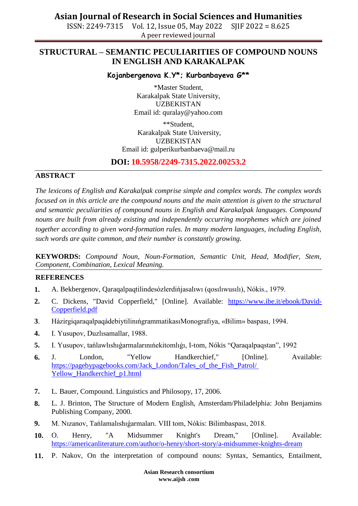**Asian Journal of Research in Social Sciences and Humanities**

ISSN: 2249-7315 Vol. 12, Issue 05, May 2022 SJIF 2022 = 8.625 A peer reviewed journal

## **STRUCTURAL – SEMANTIC PECULIARITIES OF COMPOUND NOUNS IN ENGLISH AND KARAKALPAK**

#### **Kojanbergenova K.Y\*; Kurbanbayeva G\*\***

\*Master Student, Karakalpak State University, UZBEKISTAN Email id: quralay@yahoo.com

\*\*Student, Karakalpak State University, UZBEKISTAN Email id: [gulperikurbanbaeva@mail.ru](mailto:gulperikurbanbaeva@mail.ru)

### **DOI: 10.5958/2249-7315.2022.00253.2**

#### **ABSTRACT**

*The lexicons of English and Karakalpak comprise simple and complex words. The complex words focused on in this article are the compound nouns and the main attention is given to the structural and semantic peculiarities of compound nouns in English and Karakalpak languages. Compound nouns are built from already existing and independently occurring morphemes which are joined together according to given word-formation rules. In many modern languages, including English, such words are quite common, and their number is constantly growing.*

**KEYWORDS:** *Compound Noun, Noun-Formation, Semantic Unit, Head, Modifier, Stem, Component, Combination, Lexical Meaning.*

#### **REFERENCES**

- **1.** A. Bekbergenov, Qaraqalpaqtilindesózlerdińjasalıwı (qosılıwusılı), Nókis., 1979.
- **2.** C. Dickens, "David Copperfield," [Online]. Available: [https://www.ibe.it/ebook/David-](https://www.ibe.it/ebook/David-Copperfield.pdf)[Copperfield.pdf](https://www.ibe.it/ebook/David-Copperfield.pdf)
- **3**. HázirgiqaraqalpaqádebiytilinıńgrammatikasıMonografıya, «Bilim» baspası, 1994.
- **4.** I. Yusupov, Duzlısamallar, 1988.
- **5.** I. Yusupov, tańlawlıshıǵarmalarınıńekitomlıǵı, I-tom, Nókis "Qaraqalpaqstan", 1992
- **6.** J. London, "Yellow Handkerchief," [Online]. Available: [https://pagebypagebooks.com/Jack\\_London/Tales\\_of\\_the\\_Fish\\_Patrol/](https://pagebypagebooks.com/Jack_London/Tales_of_the_Fish_Patrol/%20Yellow_Handkerchief_p1.html)  [Yellow\\_Handkerchief\\_p1.html](https://pagebypagebooks.com/Jack_London/Tales_of_the_Fish_Patrol/%20Yellow_Handkerchief_p1.html)
- **7.** L. Bauer, Compound. Linguistics and Philosopy, 17, 2006.
- **8.** L. J. Brinton, The Structure of Modern English, Amsterdam/Philadelphia: John Benjamins Publishing Company, 2000.
- **9.** M. Nızanov, Tańlamalıshıǵarmaları. VIII tom, Nókis: Bilimbaspası, 2018.
- **10.** O. Henry, "A Midsummer Knight's Dream," [Online]. Available: <https://americanliterature.com/author/o-henry/short-story/a-midsummer-knights-dream>
- **11.** P. Nakov, On the interpretation of compound nouns: Syntax, Semantics, Entailment,